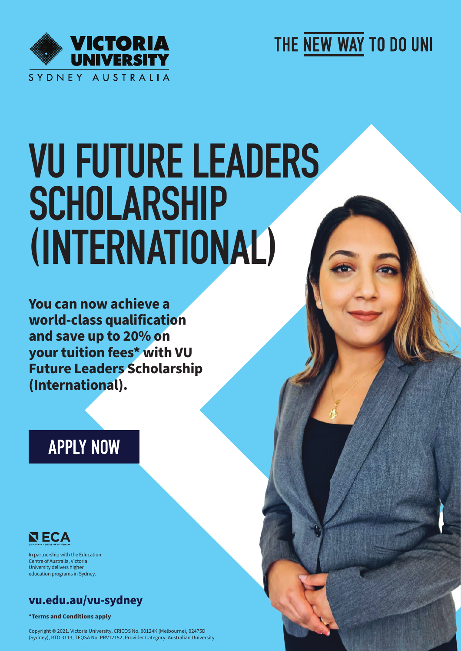

THE NEW WAY TO DO UNI

# VU FUTURE LEADERS **SCHOLARSHIP** (INTERNATIONAL)

**You can now achieve a world-class qualification and save up to 20% on your tuition fees\* with VU Future Leaders Scholarship (International).** 

## **APPLY NOW**



In partnership with the Education Centre of Australia, Victoria University delivers higher education programs in Sydney.

## **vu.edu.au/vu-sydney**

**\*Terms and Conditions apply**

Copyright © 2021. Victoria University, CRICOS No. 00124K (Melbourne), 02475D (Sydney), RTO 3113, TEQSA No. PRV12152, Provider Category: Australian University